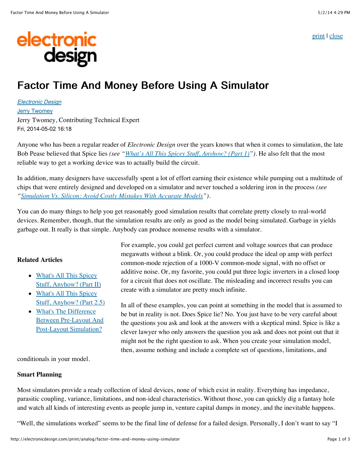[print](javascript:window.print();) | [close](javascript:window.close())

# electronic<br>design

# Factor Time And Money Before Using A Simulator

[Electronic Design](http://electronicdesign.com/electronic-design-0) [Jerry Twomey](http://electronicdesign.com/author/jerry-twomey) Jerry Twomey, Contributing Technical Expert Fri, 2014-05-02 16:18

Anyone who has been a regular reader of *Electronic Design* over the years knows that when it comes to simulation, the late Bob Pease believed that Spice lies *(see ["What's All This Spicey Stuff, Anyhow? \(Part 1\)"](http://electronicdesign.com/analog/what-s-all-spicey-stuff-anyhow-part-i))*. He also felt that the most reliable way to get a working device was to actually build the circuit.

In addition, many designers have successfully spent a lot of effort earning their existence while pumping out a multitude of chips that were entirely designed and developed on a simulator and never touched a soldering iron in the process *(see ["Simulation Vs. Silicon: Avoid Costly Mistakes With Accurate Models](http://electronicdesign.com/products/simulation-vs-silicon-avoid-costly-mistakes-accurate-models)").*

You can do many things to help you get reasonably good simulation results that correlate pretty closely to real-world devices. Remember, though, that the simulation results are only as good as the model being simulated. Garbage in yields garbage out. It really is that simple. Anybody can produce nonsense results with a simulator.

## **Related Articles**

- What's All This Spicey [Stuff, Anyhow? \(Part II\)](http://electronicdesign.com/analog/what-s-all-spicey-stuff-anyhow-part-ii)
- What's All This Spicey [Stuff, Anyhow? \(Part 2.5\)](http://electronicdesign.com/analog/what-s-all-spicey-stuff-anyhow-part-25)
- What's The Difference [Between Pre-Layout And](http://electronicdesign.com/boards/what-s-difference-between-pre-layout-and-post-layout-pcb-simulation) Post-Layout Simulation?

For example, you could get perfect current and voltage sources that can produce megawatts without a blink. Or, you could produce the ideal op amp with perfect common-mode rejection of a 1000-V common-mode signal, with no offset or additive noise. Or, my favorite, you could put three logic inverters in a closed loop for a circuit that does not oscillate. The misleading and incorrect results you can create with a simulator are pretty much infinite.

In all of these examples, you can point at something in the model that is assumed to be but in reality is not. Does Spice lie? No. You just have to be very careful about the questions you ask and look at the answers with a skeptical mind. Spice is like a clever lawyer who only answers the question you ask and does not point out that it might not be the right question to ask. When you create your simulation model, then, assume nothing and include a complete set of questions, limitations, and

conditionals in your model.

### **Smart Planning**

Most simulators provide a ready collection of ideal devices, none of which exist in reality. Everything has impedance, parasitic coupling, variance, limitations, and non-ideal characteristics. Without those, you can quickly dig a fantasy hole and watch all kinds of interesting events as people jump in, venture capital dumps in money, and the inevitable happens.

"Well, the simulations worked" seems to be the final line of defense for a failed design. Personally, I don't want to say "I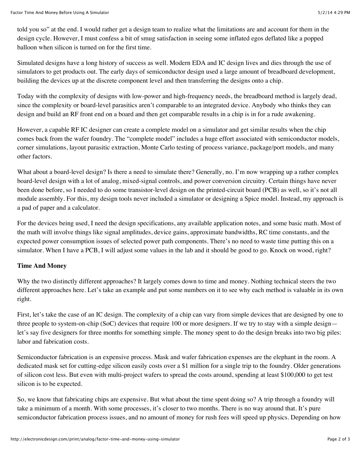told you so" at the end. I would rather get a design team to realize what the limitations are and account for them in the design cycle. However, I must confess a bit of smug satisfaction in seeing some inflated egos deflated like a popped balloon when silicon is turned on for the first time.

Simulated designs have a long history of success as well. Modern EDA and IC design lives and dies through the use of simulators to get products out. The early days of semiconductor design used a large amount of breadboard development, building the devices up at the discrete component level and then transferring the designs onto a chip.

Today with the complexity of designs with low-power and high-frequency needs, the breadboard method is largely dead, since the complexity or board-level parasitics aren't comparable to an integrated device. Anybody who thinks they can design and build an RF front end on a board and then get comparable results in a chip is in for a rude awakening.

However, a capable RF IC designer can create a complete model on a simulator and get similar results when the chip comes back from the wafer foundry. The "complete model" includes a huge effort associated with semiconductor models, corner simulations, layout parasitic extraction, Monte Carlo testing of process variance, package/port models, and many other factors.

What about a board-level design? Is there a need to simulate there? Generally, no. I'm now wrapping up a rather complex board-level design with a lot of analog, mixed-signal controls, and power conversion circuitry. Certain things have never been done before, so I needed to do some transistor-level design on the printed-circuit board (PCB) as well, so it's not all module assembly. For this, my design tools never included a simulator or designing a Spice model. Instead, my approach is a pad of paper and a calculator.

For the devices being used, I need the design specifications, any available application notes, and some basic math. Most of the math will involve things like signal amplitudes, device gains, approximate bandwidths, RC time constants, and the expected power consumption issues of selected power path components. There's no need to waste time putting this on a simulator. When I have a PCB, I will adjust some values in the lab and it should be good to go. Knock on wood, right?

### **Time And Money**

Why the two distinctly different approaches? It largely comes down to time and money. Nothing technical steers the two different approaches here. Let's take an example and put some numbers on it to see why each method is valuable in its own right.

First, let's take the case of an IC design. The complexity of a chip can vary from simple devices that are designed by one to three people to system-on-chip (SoC) devices that require 100 or more designers. If we try to stay with a simple design let's say five designers for three months for something simple. The money spent to do the design breaks into two big piles: labor and fabrication costs.

Semiconductor fabrication is an expensive process. Mask and wafer fabrication expenses are the elephant in the room. A dedicated mask set for cutting-edge silicon easily costs over a \$1 million for a single trip to the foundry. Older generations of silicon cost less. But even with multi-project wafers to spread the costs around, spending at least \$100,000 to get test silicon is to be expected.

So, we know that fabricating chips are expensive. But what about the time spent doing so? A trip through a foundry will take a minimum of a month. With some processes, it's closer to two months. There is no way around that. It's pure semiconductor fabrication process issues, and no amount of money for rush fees will speed up physics. Depending on how